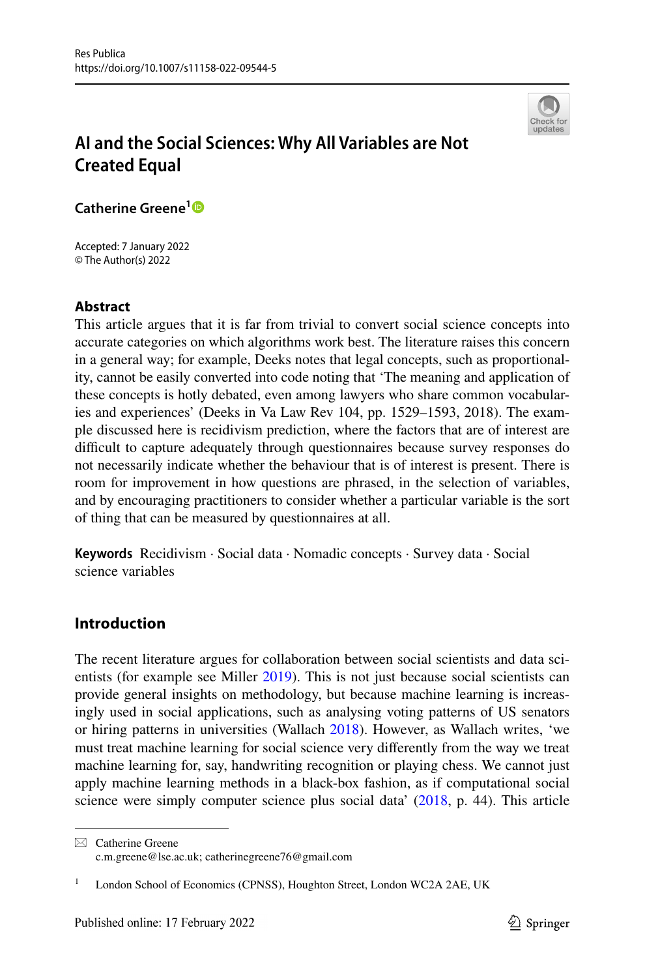

# **AI and the Social Sciences: Why All Variables are Not Created Equal**

**Catherine Greene[1](http://orcid.org/0000-0002-9425-2000)**

Accepted: 7 January 2022 © The Author(s) 2022

# **Abstract**

This article argues that it is far from trivial to convert social science concepts into accurate categories on which algorithms work best. The literature raises this concern in a general way; for example, Deeks notes that legal concepts, such as proportionality, cannot be easily converted into code noting that 'The meaning and application of these concepts is hotly debated, even among lawyers who share common vocabularies and experiences' (Deeks in Va Law Rev 104, pp. 1529–1593, 2018). The example discussed here is recidivism prediction, where the factors that are of interest are difficult to capture adequately through questionnaires because survey responses do not necessarily indicate whether the behaviour that is of interest is present. There is room for improvement in how questions are phrased, in the selection of variables, and by encouraging practitioners to consider whether a particular variable is the sort of thing that can be measured by questionnaires at all.

**Keywords** Recidivism · Social data · Nomadic concepts · Survey data · Social science variables

# **Introduction**

The recent literature argues for collaboration between social scientists and data scientists (for example see Miller [2019](#page-15-0)). This is not just because social scientists can provide general insights on methodology, but because machine learning is increasingly used in social applications, such as analysing voting patterns of US senators or hiring patterns in universities (Wallach [2018\)](#page-16-0). However, as Wallach writes, 'we must treat machine learning for social science very diferently from the way we treat machine learning for, say, handwriting recognition or playing chess. We cannot just apply machine learning methods in a black-box fashion, as if computational social science were simply computer science plus social data' [\(2018](#page-16-0), p. 44). This article

 $\boxtimes$  Catherine Greene c.m.greene@lse.ac.uk; catherinegreene76@gmail.com

London School of Economics (CPNSS), Houghton Street, London WC2A 2AE, UK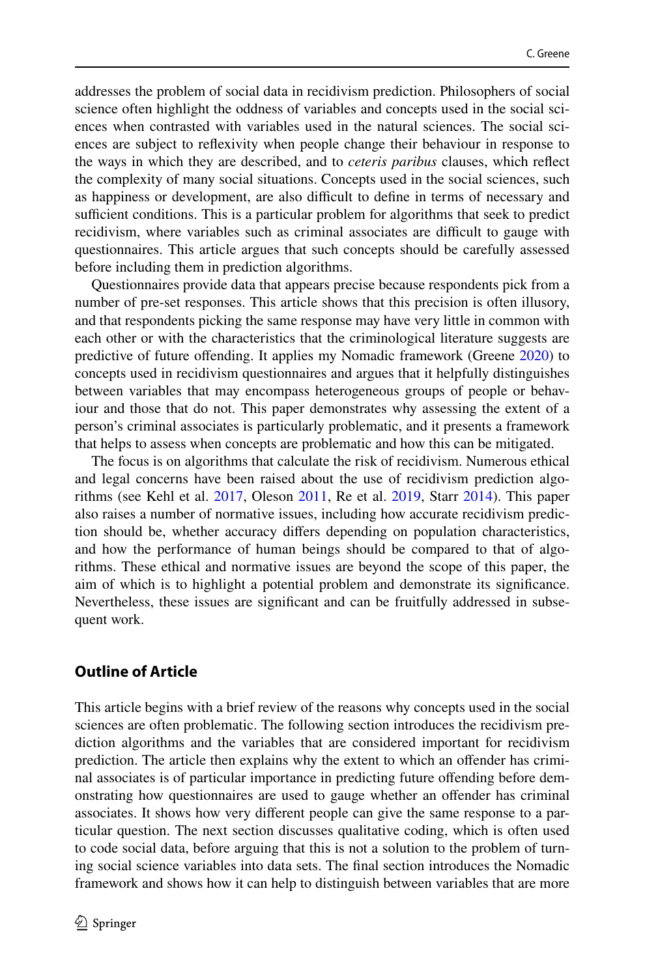addresses the problem of social data in recidivism prediction. Philosophers of social science often highlight the oddness of variables and concepts used in the social sciences when contrasted with variables used in the natural sciences. The social sciences are subject to refexivity when people change their behaviour in response to the ways in which they are described, and to *ceteris paribus* clauses, which refect the complexity of many social situations. Concepts used in the social sciences, such as happiness or development, are also difficult to define in terms of necessary and sufficient conditions. This is a particular problem for algorithms that seek to predict recidivism, where variables such as criminal associates are difficult to gauge with questionnaires. This article argues that such concepts should be carefully assessed before including them in prediction algorithms.

Questionnaires provide data that appears precise because respondents pick from a number of pre-set responses. This article shows that this precision is often illusory, and that respondents picking the same response may have very little in common with each other or with the characteristics that the criminological literature suggests are predictive of future ofending. It applies my Nomadic framework (Greene [2020](#page-15-1)) to concepts used in recidivism questionnaires and argues that it helpfully distinguishes between variables that may encompass heterogeneous groups of people or behaviour and those that do not. This paper demonstrates why assessing the extent of a person's criminal associates is particularly problematic, and it presents a framework that helps to assess when concepts are problematic and how this can be mitigated.

The focus is on algorithms that calculate the risk of recidivism. Numerous ethical and legal concerns have been raised about the use of recidivism prediction algorithms (see Kehl et al. [2017,](#page-15-2) Oleson [2011](#page-15-3), Re et al. [2019,](#page-15-4) Starr [2014\)](#page-15-5). This paper also raises a number of normative issues, including how accurate recidivism prediction should be, whether accuracy difers depending on population characteristics, and how the performance of human beings should be compared to that of algorithms. These ethical and normative issues are beyond the scope of this paper, the aim of which is to highlight a potential problem and demonstrate its signifcance. Nevertheless, these issues are signifcant and can be fruitfully addressed in subsequent work.

# **Outline of Article**

This article begins with a brief review of the reasons why concepts used in the social sciences are often problematic. The following section introduces the recidivism prediction algorithms and the variables that are considered important for recidivism prediction. The article then explains why the extent to which an ofender has criminal associates is of particular importance in predicting future ofending before demonstrating how questionnaires are used to gauge whether an ofender has criminal associates. It shows how very diferent people can give the same response to a particular question. The next section discusses qualitative coding, which is often used to code social data, before arguing that this is not a solution to the problem of turning social science variables into data sets. The fnal section introduces the Nomadic framework and shows how it can help to distinguish between variables that are more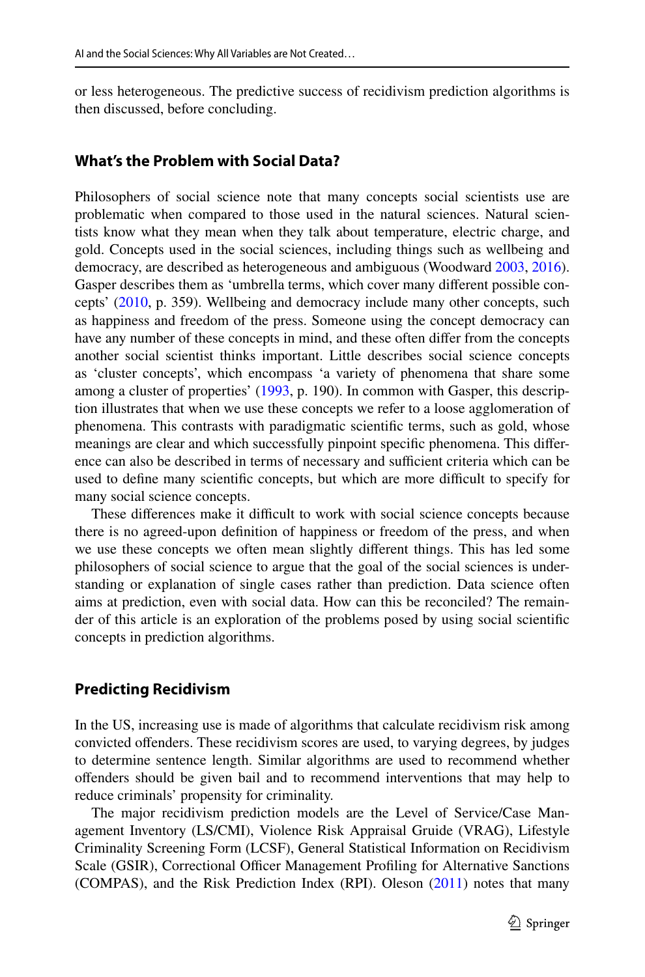or less heterogeneous. The predictive success of recidivism prediction algorithms is then discussed, before concluding.

#### **What's the Problem with Social Data?**

Philosophers of social science note that many concepts social scientists use are problematic when compared to those used in the natural sciences. Natural scientists know what they mean when they talk about temperature, electric charge, and gold. Concepts used in the social sciences, including things such as wellbeing and democracy, are described as heterogeneous and ambiguous (Woodward [2003,](#page-16-1) [2016\)](#page-16-2). Gasper describes them as 'umbrella terms, which cover many diferent possible concepts' ([2010,](#page-15-6) p. 359). Wellbeing and democracy include many other concepts, such as happiness and freedom of the press. Someone using the concept democracy can have any number of these concepts in mind, and these often difer from the concepts another social scientist thinks important. Little describes social science concepts as 'cluster concepts', which encompass 'a variety of phenomena that share some among a cluster of properties' [\(1993](#page-15-7), p. 190). In common with Gasper, this description illustrates that when we use these concepts we refer to a loose agglomeration of phenomena. This contrasts with paradigmatic scientifc terms, such as gold, whose meanings are clear and which successfully pinpoint specifc phenomena. This diference can also be described in terms of necessary and sufficient criteria which can be used to define many scientific concepts, but which are more difficult to specify for many social science concepts.

These differences make it difficult to work with social science concepts because there is no agreed-upon defnition of happiness or freedom of the press, and when we use these concepts we often mean slightly diferent things. This has led some philosophers of social science to argue that the goal of the social sciences is understanding or explanation of single cases rather than prediction. Data science often aims at prediction, even with social data. How can this be reconciled? The remainder of this article is an exploration of the problems posed by using social scientifc concepts in prediction algorithms.

#### **Predicting Recidivism**

In the US, increasing use is made of algorithms that calculate recidivism risk among convicted ofenders. These recidivism scores are used, to varying degrees, by judges to determine sentence length. Similar algorithms are used to recommend whether ofenders should be given bail and to recommend interventions that may help to reduce criminals' propensity for criminality.

The major recidivism prediction models are the Level of Service/Case Management Inventory (LS/CMI), Violence Risk Appraisal Gruide (VRAG), Lifestyle Criminality Screening Form (LCSF), General Statistical Information on Recidivism Scale (GSIR), Correctional Officer Management Profiling for Alternative Sanctions (COMPAS), and the Risk Prediction Index (RPI). Oleson ([2011\)](#page-15-3) notes that many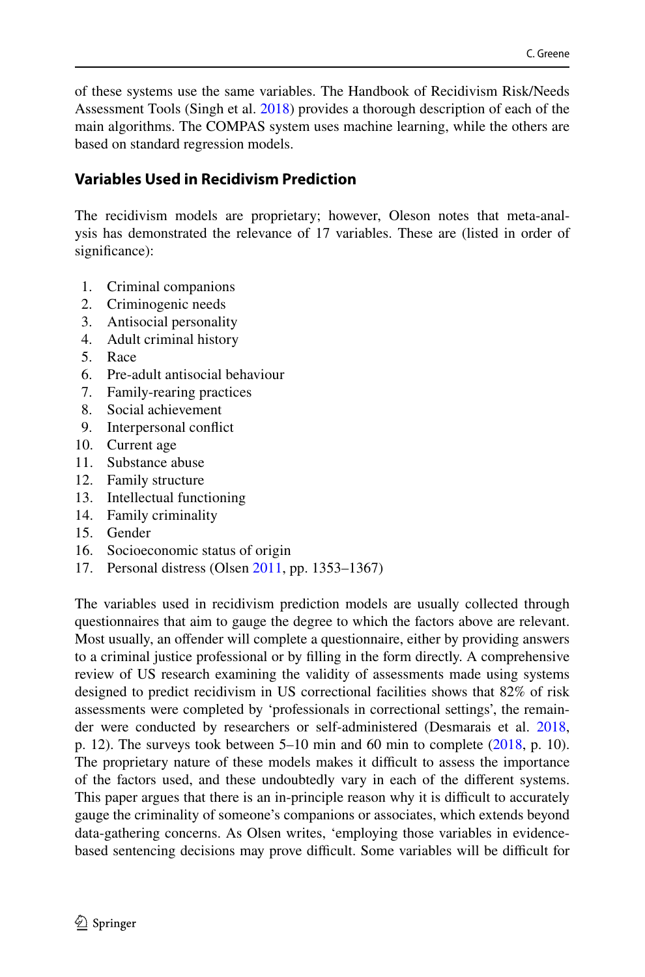of these systems use the same variables. The Handbook of Recidivism Risk/Needs Assessment Tools (Singh et al. [2018](#page-15-8)) provides a thorough description of each of the main algorithms. The COMPAS system uses machine learning, while the others are based on standard regression models.

# **Variables Used in Recidivism Prediction**

The recidivism models are proprietary; however, Oleson notes that meta-analysis has demonstrated the relevance of 17 variables. These are (listed in order of significance):

- 1. Criminal companions<br>2. Criminogenic needs
- 2. Criminogenic needs<br>3. Antisocial personality
- 3. Antisocial personality<br>4. Adult criminal history
- 4. Adult criminal history<br>5 Race
- 5. Race<br>6 Pre-a
- 6. Pre-adult antisocial behaviour<br>7. Eamily-rearing practices
- 7. Family-rearing practices
- 8. Social achievement<br>9. Internersonal confli
- 9. Interpersonal confict
- 10. Current age
- 11. Substance abuse
- 12. Family structure
- 13. Intellectual functioning
- 14. Family criminality
- 15. Gender
- 16. Socioeconomic status of origin
- 17. Personal distress (Olsen [2011](#page-15-3), pp. 1353–1367)

The variables used in recidivism prediction models are usually collected through questionnaires that aim to gauge the degree to which the factors above are relevant. Most usually, an ofender will complete a questionnaire, either by providing answers to a criminal justice professional or by flling in the form directly. A comprehensive review of US research examining the validity of assessments made using systems designed to predict recidivism in US correctional facilities shows that 82% of risk assessments were completed by 'professionals in correctional settings', the remainder were conducted by researchers or self-administered (Desmarais et al. [2018,](#page-15-9) p. 12). The surveys took between  $5-10$  min and 60 min to complete [\(2018](#page-15-9), p. 10). The proprietary nature of these models makes it difficult to assess the importance of the factors used, and these undoubtedly vary in each of the diferent systems. This paper argues that there is an in-principle reason why it is difficult to accurately gauge the criminality of someone's companions or associates, which extends beyond data-gathering concerns. As Olsen writes, 'employing those variables in evidencebased sentencing decisions may prove difficult. Some variables will be difficult for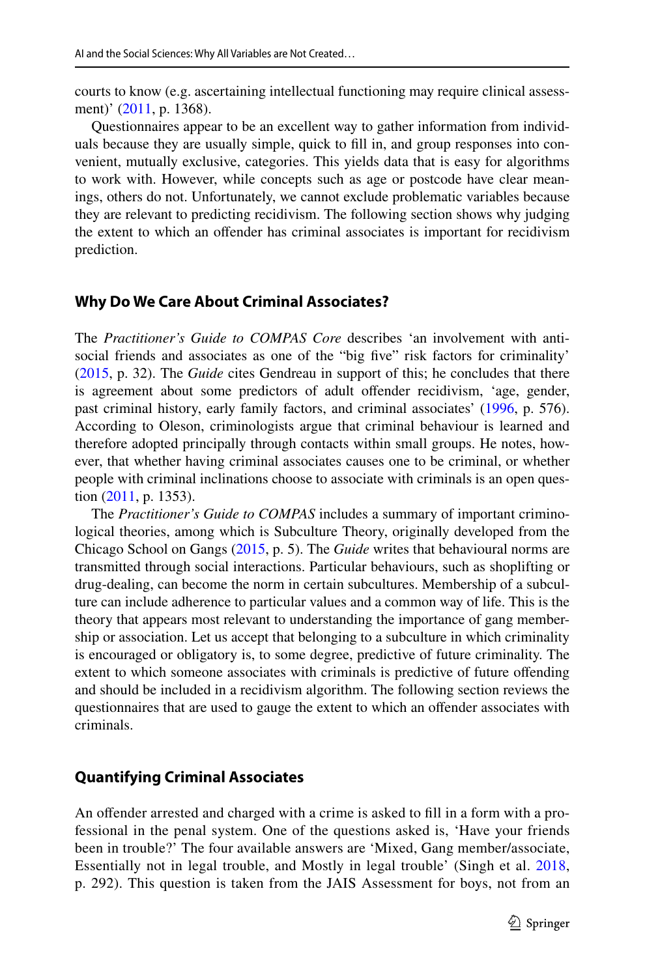courts to know (e.g. ascertaining intellectual functioning may require clinical assessment)' ([2011,](#page-15-3) p. 1368).

Questionnaires appear to be an excellent way to gather information from individuals because they are usually simple, quick to fll in, and group responses into convenient, mutually exclusive, categories. This yields data that is easy for algorithms to work with. However, while concepts such as age or postcode have clear meanings, others do not. Unfortunately, we cannot exclude problematic variables because they are relevant to predicting recidivism. The following section shows why judging the extent to which an ofender has criminal associates is important for recidivism prediction.

#### **Why Do We Care About Criminal Associates?**

The *Practitioner's Guide to COMPAS Core* describes 'an involvement with antisocial friends and associates as one of the "big five" risk factors for criminality' [\(2015](#page-15-10), p. 32). The *Guide* cites Gendreau in support of this; he concludes that there is agreement about some predictors of adult ofender recidivism, 'age, gender, past criminal history, early family factors, and criminal associates' ([1996,](#page-15-11) p. 576). According to Oleson, criminologists argue that criminal behaviour is learned and therefore adopted principally through contacts within small groups. He notes, however, that whether having criminal associates causes one to be criminal, or whether people with criminal inclinations choose to associate with criminals is an open question [\(2011](#page-15-3), p. 1353).

The *Practitioner's Guide to COMPAS* includes a summary of important criminological theories, among which is Subculture Theory, originally developed from the Chicago School on Gangs ([2015,](#page-15-10) p. 5). The *Guide* writes that behavioural norms are transmitted through social interactions. Particular behaviours, such as shoplifting or drug-dealing, can become the norm in certain subcultures. Membership of a subculture can include adherence to particular values and a common way of life. This is the theory that appears most relevant to understanding the importance of gang membership or association. Let us accept that belonging to a subculture in which criminality is encouraged or obligatory is, to some degree, predictive of future criminality. The extent to which someone associates with criminals is predictive of future ofending and should be included in a recidivism algorithm. The following section reviews the questionnaires that are used to gauge the extent to which an ofender associates with criminals.

### **Quantifying Criminal Associates**

An offender arrested and charged with a crime is asked to fill in a form with a professional in the penal system. One of the questions asked is, 'Have your friends been in trouble?' The four available answers are 'Mixed, Gang member/associate, Essentially not in legal trouble, and Mostly in legal trouble' (Singh et al. [2018,](#page-15-8) p. 292). This question is taken from the JAIS Assessment for boys, not from an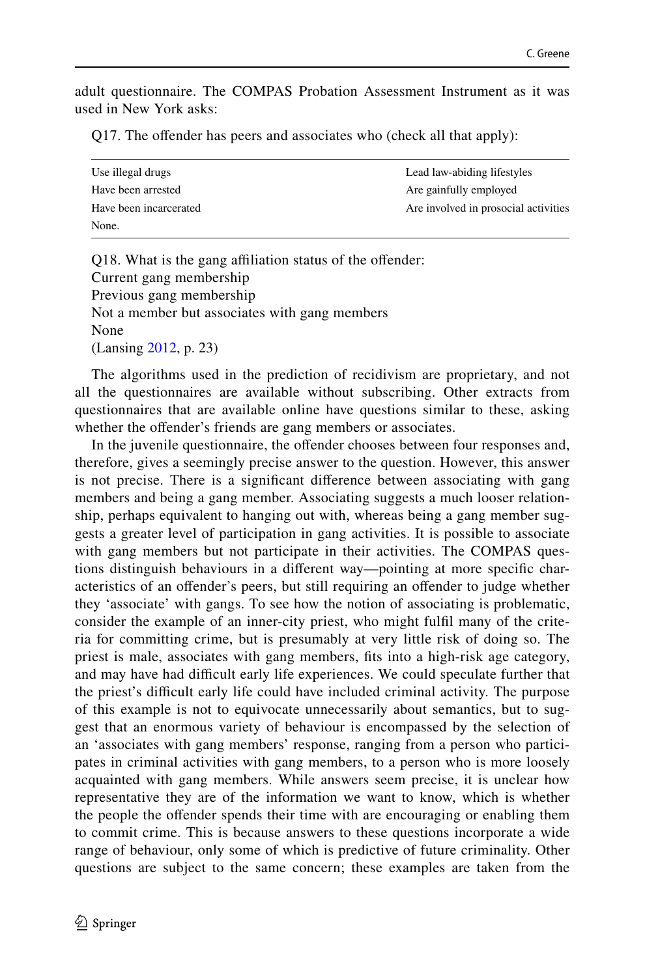adult questionnaire. The COMPAS Probation Assessment Instrument as it was used in New York asks:

Q17. The offender has peers and associates who (check all that apply):

| Use illegal drugs      | Lead law-abiding lifestyles          |
|------------------------|--------------------------------------|
| Have been arrested     | Are gainfully employed               |
| Have been incarcerated | Are involved in prosocial activities |
| None.                  |                                      |

Q18. What is the gang affiliation status of the offender: Current gang membership Previous gang membership Not a member but associates with gang members None (Lansing [2012](#page-15-12), p. 23)

The algorithms used in the prediction of recidivism are proprietary, and not all the questionnaires are available without subscribing. Other extracts from questionnaires that are available online have questions similar to these, asking whether the offender's friends are gang members or associates.

In the juvenile questionnaire, the ofender chooses between four responses and, therefore, gives a seemingly precise answer to the question. However, this answer is not precise. There is a signifcant diference between associating with gang members and being a gang member. Associating suggests a much looser relationship, perhaps equivalent to hanging out with, whereas being a gang member suggests a greater level of participation in gang activities. It is possible to associate with gang members but not participate in their activities. The COMPAS questions distinguish behaviours in a diferent way—pointing at more specifc characteristics of an ofender's peers, but still requiring an ofender to judge whether they 'associate' with gangs. To see how the notion of associating is problematic, consider the example of an inner-city priest, who might fulfl many of the criteria for committing crime, but is presumably at very little risk of doing so. The priest is male, associates with gang members, fts into a high-risk age category, and may have had difficult early life experiences. We could speculate further that the priest's difcult early life could have included criminal activity. The purpose of this example is not to equivocate unnecessarily about semantics, but to suggest that an enormous variety of behaviour is encompassed by the selection of an 'associates with gang members' response, ranging from a person who participates in criminal activities with gang members, to a person who is more loosely acquainted with gang members. While answers seem precise, it is unclear how representative they are of the information we want to know, which is whether the people the offender spends their time with are encouraging or enabling them to commit crime. This is because answers to these questions incorporate a wide range of behaviour, only some of which is predictive of future criminality. Other questions are subject to the same concern; these examples are taken from the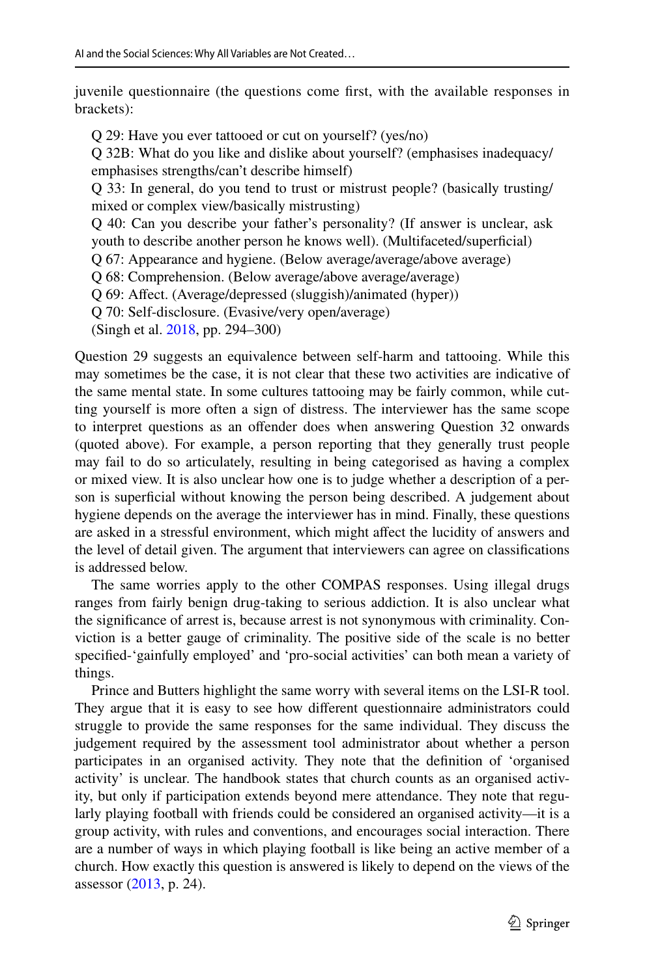juvenile questionnaire (the questions come frst, with the available responses in brackets):

Q 29: Have you ever tattooed or cut on yourself? (yes/no)

Q 32B: What do you like and dislike about yourself? (emphasises inadequacy/ emphasises strengths/can't describe himself)

Q 33: In general, do you tend to trust or mistrust people? (basically trusting/ mixed or complex view/basically mistrusting)

Q 40: Can you describe your father's personality? (If answer is unclear, ask

youth to describe another person he knows well). (Multifaceted/superficial)

Q 67: Appearance and hygiene. (Below average/average/above average)

Q 68: Comprehension. (Below average/above average/average)

Q 69: Afect. (Average/depressed (sluggish)/animated (hyper))

Q 70: Self-disclosure. (Evasive/very open/average)

(Singh et al. [2018](#page-15-8), pp. 294–300)

Question 29 suggests an equivalence between self-harm and tattooing. While this may sometimes be the case, it is not clear that these two activities are indicative of the same mental state. In some cultures tattooing may be fairly common, while cutting yourself is more often a sign of distress. The interviewer has the same scope to interpret questions as an ofender does when answering Question 32 onwards (quoted above). For example, a person reporting that they generally trust people may fail to do so articulately, resulting in being categorised as having a complex or mixed view. It is also unclear how one is to judge whether a description of a person is superfcial without knowing the person being described. A judgement about hygiene depends on the average the interviewer has in mind. Finally, these questions are asked in a stressful environment, which might afect the lucidity of answers and the level of detail given. The argument that interviewers can agree on classifcations is addressed below.

The same worries apply to the other COMPAS responses. Using illegal drugs ranges from fairly benign drug-taking to serious addiction. It is also unclear what the signifcance of arrest is, because arrest is not synonymous with criminality. Conviction is a better gauge of criminality. The positive side of the scale is no better specifed-'gainfully employed' and 'pro-social activities' can both mean a variety of things.

Prince and Butters highlight the same worry with several items on the LSI-R tool. They argue that it is easy to see how diferent questionnaire administrators could struggle to provide the same responses for the same individual. They discuss the judgement required by the assessment tool administrator about whether a person participates in an organised activity. They note that the defnition of 'organised activity' is unclear. The handbook states that church counts as an organised activity, but only if participation extends beyond mere attendance. They note that regularly playing football with friends could be considered an organised activity—it is a group activity, with rules and conventions, and encourages social interaction. There are a number of ways in which playing football is like being an active member of a church. How exactly this question is answered is likely to depend on the views of the assessor ([2013,](#page-15-13) p. 24).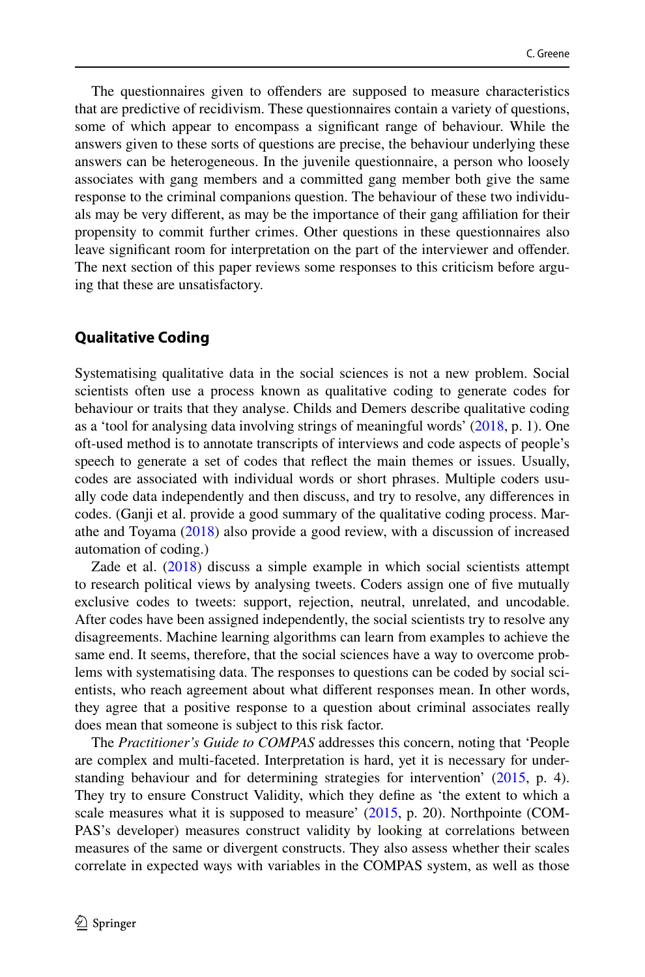The questionnaires given to offenders are supposed to measure characteristics that are predictive of recidivism. These questionnaires contain a variety of questions, some of which appear to encompass a signifcant range of behaviour. While the answers given to these sorts of questions are precise, the behaviour underlying these answers can be heterogeneous. In the juvenile questionnaire, a person who loosely associates with gang members and a committed gang member both give the same response to the criminal companions question. The behaviour of these two individuals may be very diferent, as may be the importance of their gang afliation for their propensity to commit further crimes. Other questions in these questionnaires also leave signifcant room for interpretation on the part of the interviewer and ofender. The next section of this paper reviews some responses to this criticism before arguing that these are unsatisfactory.

#### **Qualitative Coding**

Systematising qualitative data in the social sciences is not a new problem. Social scientists often use a process known as qualitative coding to generate codes for behaviour or traits that they analyse. Childs and Demers describe qualitative coding as a 'tool for analysing data involving strings of meaningful words' ([2018,](#page-15-14) p. 1). One oft-used method is to annotate transcripts of interviews and code aspects of people's speech to generate a set of codes that refect the main themes or issues. Usually, codes are associated with individual words or short phrases. Multiple coders usually code data independently and then discuss, and try to resolve, any diferences in codes. (Ganji et al. provide a good summary of the qualitative coding process. Marathe and Toyama [\(2018](#page-15-15)) also provide a good review, with a discussion of increased automation of coding.)

Zade et al. [\(2018](#page-16-3)) discuss a simple example in which social scientists attempt to research political views by analysing tweets. Coders assign one of fve mutually exclusive codes to tweets: support, rejection, neutral, unrelated, and uncodable. After codes have been assigned independently, the social scientists try to resolve any disagreements. Machine learning algorithms can learn from examples to achieve the same end. It seems, therefore, that the social sciences have a way to overcome problems with systematising data. The responses to questions can be coded by social scientists, who reach agreement about what diferent responses mean. In other words, they agree that a positive response to a question about criminal associates really does mean that someone is subject to this risk factor.

The *Practitioner's Guide to COMPAS* addresses this concern, noting that 'People are complex and multi-faceted. Interpretation is hard, yet it is necessary for understanding behaviour and for determining strategies for intervention' [\(2015](#page-15-10), p. 4). They try to ensure Construct Validity, which they defne as 'the extent to which a scale measures what it is supposed to measure' [\(2015](#page-15-10), p. 20). Northpointe (COM-PAS's developer) measures construct validity by looking at correlations between measures of the same or divergent constructs. They also assess whether their scales correlate in expected ways with variables in the COMPAS system, as well as those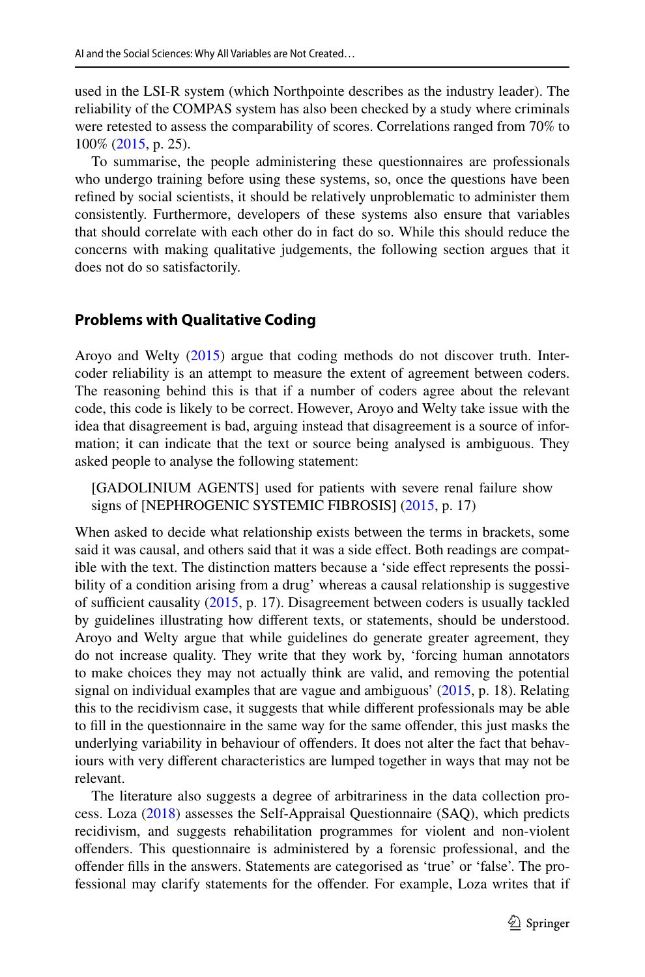used in the LSI-R system (which Northpointe describes as the industry leader). The reliability of the COMPAS system has also been checked by a study where criminals were retested to assess the comparability of scores. Correlations ranged from 70% to 100% [\(2015](#page-15-10), p. 25).

To summarise, the people administering these questionnaires are professionals who undergo training before using these systems, so, once the questions have been refned by social scientists, it should be relatively unproblematic to administer them consistently. Furthermore, developers of these systems also ensure that variables that should correlate with each other do in fact do so. While this should reduce the concerns with making qualitative judgements, the following section argues that it does not do so satisfactorily.

# **Problems with Qualitative Coding**

Aroyo and Welty [\(2015](#page-15-16)) argue that coding methods do not discover truth. Intercoder reliability is an attempt to measure the extent of agreement between coders. The reasoning behind this is that if a number of coders agree about the relevant code, this code is likely to be correct. However, Aroyo and Welty take issue with the idea that disagreement is bad, arguing instead that disagreement is a source of information; it can indicate that the text or source being analysed is ambiguous. They asked people to analyse the following statement:

[GADOLINIUM AGENTS] used for patients with severe renal failure show signs of [NEPHROGENIC SYSTEMIC FIBROSIS] [\(2015](#page-15-16), p. 17)

When asked to decide what relationship exists between the terms in brackets, some said it was causal, and others said that it was a side effect. Both readings are compatible with the text. The distinction matters because a 'side effect represents the possibility of a condition arising from a drug' whereas a causal relationship is suggestive of sufficient causality  $(2015, p. 17)$  $(2015, p. 17)$  $(2015, p. 17)$ . Disagreement between coders is usually tackled by guidelines illustrating how diferent texts, or statements, should be understood. Aroyo and Welty argue that while guidelines do generate greater agreement, they do not increase quality. They write that they work by, 'forcing human annotators to make choices they may not actually think are valid, and removing the potential signal on individual examples that are vague and ambiguous' [\(2015](#page-15-16), p. 18). Relating this to the recidivism case, it suggests that while diferent professionals may be able to fll in the questionnaire in the same way for the same ofender, this just masks the underlying variability in behaviour of ofenders. It does not alter the fact that behaviours with very diferent characteristics are lumped together in ways that may not be relevant.

The literature also suggests a degree of arbitrariness in the data collection process. Loza ([2018\)](#page-15-17) assesses the Self-Appraisal Questionnaire (SAQ), which predicts recidivism, and suggests rehabilitation programmes for violent and non-violent ofenders. This questionnaire is administered by a forensic professional, and the ofender flls in the answers. Statements are categorised as 'true' or 'false'. The professional may clarify statements for the offender. For example, Loza writes that if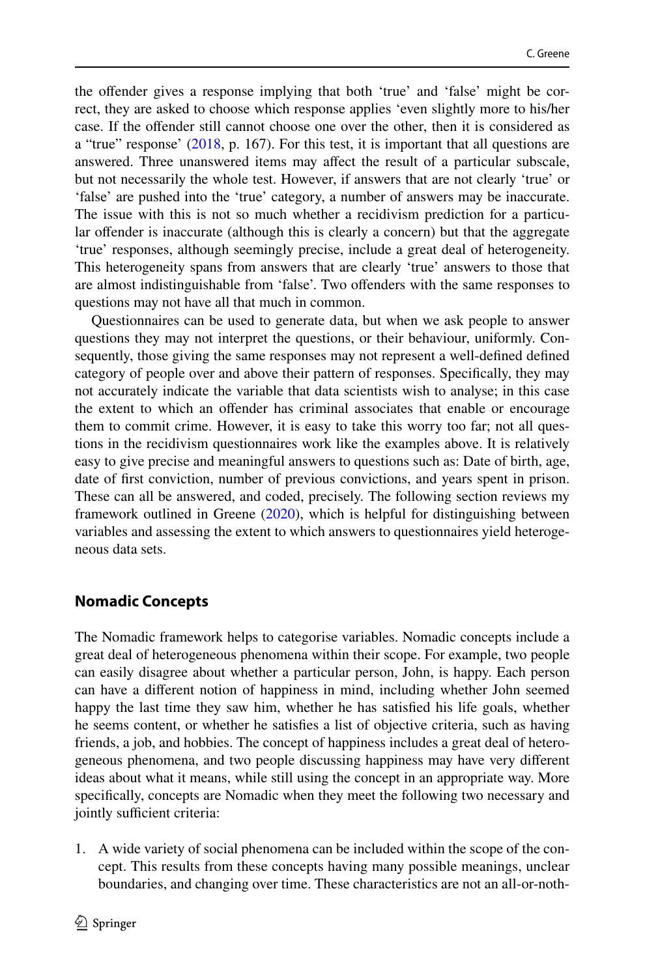the ofender gives a response implying that both 'true' and 'false' might be correct, they are asked to choose which response applies 'even slightly more to his/her case. If the ofender still cannot choose one over the other, then it is considered as a "true" response' ([2018,](#page-15-17) p. 167). For this test, it is important that all questions are answered. Three unanswered items may afect the result of a particular subscale, but not necessarily the whole test. However, if answers that are not clearly 'true' or 'false' are pushed into the 'true' category, a number of answers may be inaccurate. The issue with this is not so much whether a recidivism prediction for a particular offender is inaccurate (although this is clearly a concern) but that the aggregate 'true' responses, although seemingly precise, include a great deal of heterogeneity. This heterogeneity spans from answers that are clearly 'true' answers to those that are almost indistinguishable from 'false'. Two ofenders with the same responses to questions may not have all that much in common.

Questionnaires can be used to generate data, but when we ask people to answer questions they may not interpret the questions, or their behaviour, uniformly. Consequently, those giving the same responses may not represent a well-defned defned category of people over and above their pattern of responses. Specifcally, they may not accurately indicate the variable that data scientists wish to analyse; in this case the extent to which an ofender has criminal associates that enable or encourage them to commit crime. However, it is easy to take this worry too far; not all questions in the recidivism questionnaires work like the examples above. It is relatively easy to give precise and meaningful answers to questions such as: Date of birth, age, date of frst conviction, number of previous convictions, and years spent in prison. These can all be answered, and coded, precisely. The following section reviews my framework outlined in Greene [\(2020](#page-15-1)), which is helpful for distinguishing between variables and assessing the extent to which answers to questionnaires yield heterogeneous data sets.

# **Nomadic Concepts**

The Nomadic framework helps to categorise variables. Nomadic concepts include a great deal of heterogeneous phenomena within their scope. For example, two people can easily disagree about whether a particular person, John, is happy. Each person can have a diferent notion of happiness in mind, including whether John seemed happy the last time they saw him, whether he has satisfed his life goals, whether he seems content, or whether he satisfes a list of objective criteria, such as having friends, a job, and hobbies. The concept of happiness includes a great deal of heterogeneous phenomena, and two people discussing happiness may have very diferent ideas about what it means, while still using the concept in an appropriate way. More specifcally, concepts are Nomadic when they meet the following two necessary and jointly sufficient criteria:

1. A wide variety of social phenomena can be included within the scope of the concept. This results from these concepts having many possible meanings, unclear boundaries, and changing over time. These characteristics are not an all-or-noth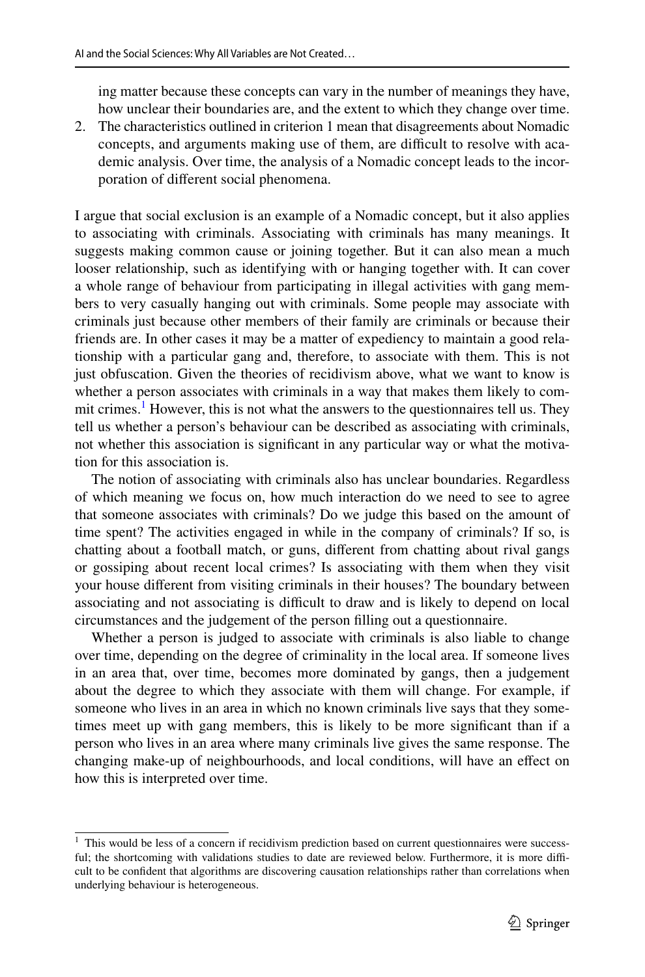ing matter because these concepts can vary in the number of meanings they have, how unclear their boundaries are, and the extent to which they change over time.

2. The characteristics outlined in criterion 1 mean that disagreements about Nomadic concepts, and arguments making use of them, are difficult to resolve with academic analysis. Over time, the analysis of a Nomadic concept leads to the incorporation of diferent social phenomena.

I argue that social exclusion is an example of a Nomadic concept, but it also applies to associating with criminals. Associating with criminals has many meanings. It suggests making common cause or joining together. But it can also mean a much looser relationship, such as identifying with or hanging together with. It can cover a whole range of behaviour from participating in illegal activities with gang members to very casually hanging out with criminals. Some people may associate with criminals just because other members of their family are criminals or because their friends are. In other cases it may be a matter of expediency to maintain a good relationship with a particular gang and, therefore, to associate with them. This is not just obfuscation. Given the theories of recidivism above, what we want to know is whether a person associates with criminals in a way that makes them likely to commit crimes.<sup>1</sup> However, this is not what the answers to the questionnaires tell us. They tell us whether a person's behaviour can be described as associating with criminals, not whether this association is signifcant in any particular way or what the motivation for this association is.

The notion of associating with criminals also has unclear boundaries. Regardless of which meaning we focus on, how much interaction do we need to see to agree that someone associates with criminals? Do we judge this based on the amount of time spent? The activities engaged in while in the company of criminals? If so, is chatting about a football match, or guns, diferent from chatting about rival gangs or gossiping about recent local crimes? Is associating with them when they visit your house diferent from visiting criminals in their houses? The boundary between associating and not associating is difficult to draw and is likely to depend on local circumstances and the judgement of the person flling out a questionnaire.

Whether a person is judged to associate with criminals is also liable to change over time, depending on the degree of criminality in the local area. If someone lives in an area that, over time, becomes more dominated by gangs, then a judgement about the degree to which they associate with them will change. For example, if someone who lives in an area in which no known criminals live says that they sometimes meet up with gang members, this is likely to be more signifcant than if a person who lives in an area where many criminals live gives the same response. The changing make-up of neighbourhoods, and local conditions, will have an efect on how this is interpreted over time.

<span id="page-10-0"></span><sup>&</sup>lt;sup>1</sup> This would be less of a concern if recidivism prediction based on current questionnaires were successful; the shortcoming with validations studies to date are reviewed below. Furthermore, it is more difficult to be confdent that algorithms are discovering causation relationships rather than correlations when underlying behaviour is heterogeneous.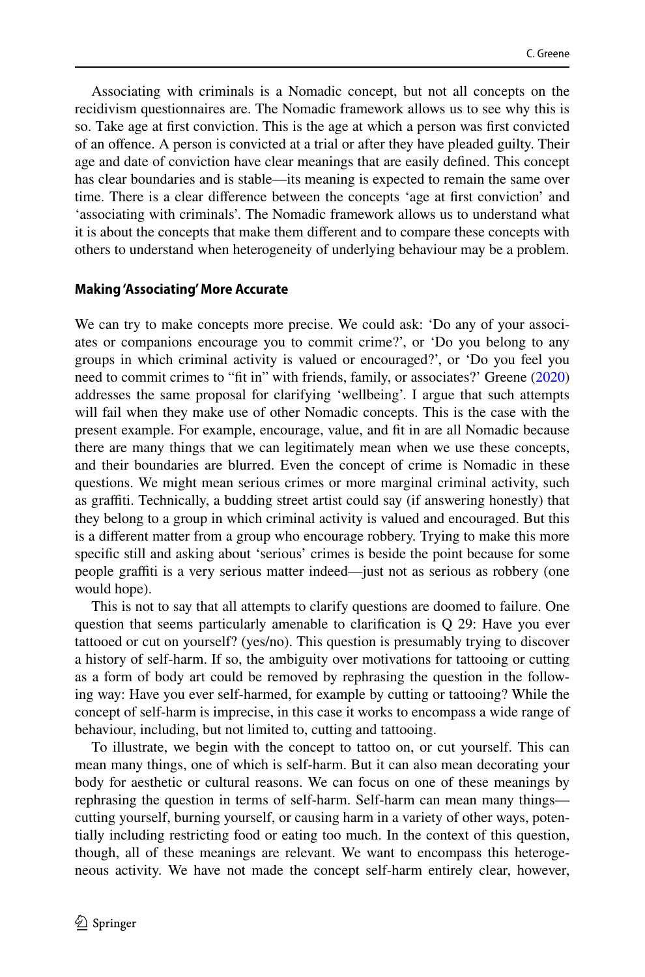Associating with criminals is a Nomadic concept, but not all concepts on the recidivism questionnaires are. The Nomadic framework allows us to see why this is so. Take age at frst conviction. This is the age at which a person was frst convicted of an ofence. A person is convicted at a trial or after they have pleaded guilty. Their age and date of conviction have clear meanings that are easily defned. This concept has clear boundaries and is stable—its meaning is expected to remain the same over time. There is a clear diference between the concepts 'age at frst conviction' and 'associating with criminals'. The Nomadic framework allows us to understand what it is about the concepts that make them diferent and to compare these concepts with others to understand when heterogeneity of underlying behaviour may be a problem.

#### **Making 'Associating' More Accurate**

We can try to make concepts more precise. We could ask: 'Do any of your associates or companions encourage you to commit crime?', or 'Do you belong to any groups in which criminal activity is valued or encouraged?', or 'Do you feel you need to commit crimes to "ft in" with friends, family, or associates?' Greene [\(2020](#page-15-1)) addresses the same proposal for clarifying 'wellbeing'. I argue that such attempts will fail when they make use of other Nomadic concepts. This is the case with the present example. For example, encourage, value, and ft in are all Nomadic because there are many things that we can legitimately mean when we use these concepts, and their boundaries are blurred. Even the concept of crime is Nomadic in these questions. We might mean serious crimes or more marginal criminal activity, such as graffiti. Technically, a budding street artist could say (if answering honestly) that they belong to a group in which criminal activity is valued and encouraged. But this is a diferent matter from a group who encourage robbery. Trying to make this more specifc still and asking about 'serious' crimes is beside the point because for some people graffiti is a very serious matter indeed—just not as serious as robbery (one would hope).

This is not to say that all attempts to clarify questions are doomed to failure. One question that seems particularly amenable to clarifcation is Q 29: Have you ever tattooed or cut on yourself? (yes/no). This question is presumably trying to discover a history of self-harm. If so, the ambiguity over motivations for tattooing or cutting as a form of body art could be removed by rephrasing the question in the following way: Have you ever self-harmed, for example by cutting or tattooing? While the concept of self-harm is imprecise, in this case it works to encompass a wide range of behaviour, including, but not limited to, cutting and tattooing.

To illustrate, we begin with the concept to tattoo on, or cut yourself. This can mean many things, one of which is self-harm. But it can also mean decorating your body for aesthetic or cultural reasons. We can focus on one of these meanings by rephrasing the question in terms of self-harm. Self-harm can mean many things cutting yourself, burning yourself, or causing harm in a variety of other ways, potentially including restricting food or eating too much. In the context of this question, though, all of these meanings are relevant. We want to encompass this heterogeneous activity. We have not made the concept self-harm entirely clear, however,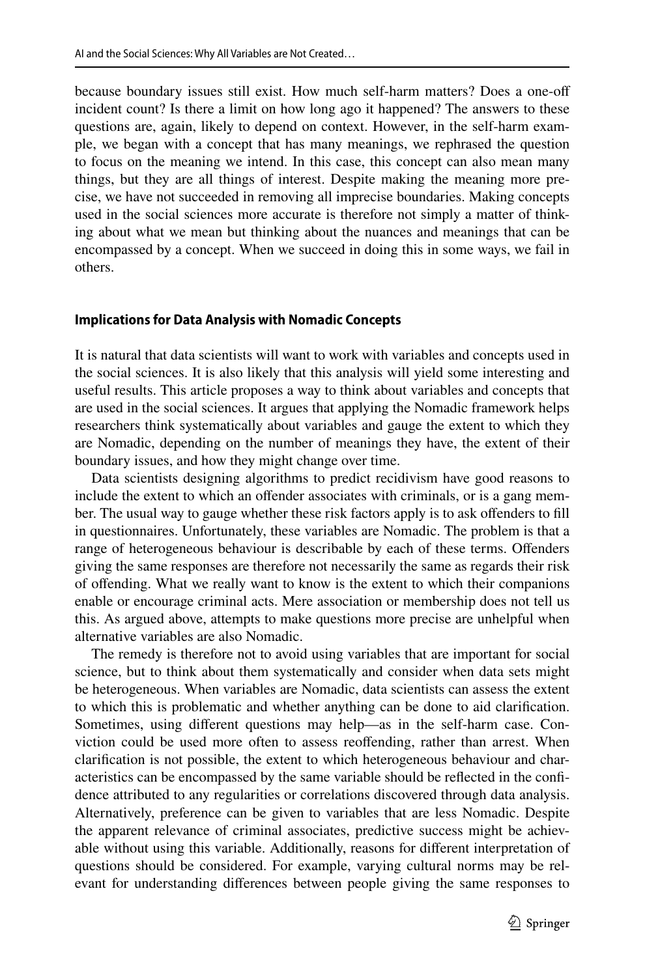because boundary issues still exist. How much self-harm matters? Does a one-of incident count? Is there a limit on how long ago it happened? The answers to these questions are, again, likely to depend on context. However, in the self-harm example, we began with a concept that has many meanings, we rephrased the question to focus on the meaning we intend. In this case, this concept can also mean many things, but they are all things of interest. Despite making the meaning more precise, we have not succeeded in removing all imprecise boundaries. Making concepts used in the social sciences more accurate is therefore not simply a matter of thinking about what we mean but thinking about the nuances and meanings that can be encompassed by a concept. When we succeed in doing this in some ways, we fail in others.

#### **Implications for Data Analysis with Nomadic Concepts**

It is natural that data scientists will want to work with variables and concepts used in the social sciences. It is also likely that this analysis will yield some interesting and useful results. This article proposes a way to think about variables and concepts that are used in the social sciences. It argues that applying the Nomadic framework helps researchers think systematically about variables and gauge the extent to which they are Nomadic, depending on the number of meanings they have, the extent of their boundary issues, and how they might change over time.

Data scientists designing algorithms to predict recidivism have good reasons to include the extent to which an offender associates with criminals, or is a gang member. The usual way to gauge whether these risk factors apply is to ask offenders to fill in questionnaires. Unfortunately, these variables are Nomadic. The problem is that a range of heterogeneous behaviour is describable by each of these terms. Ofenders giving the same responses are therefore not necessarily the same as regards their risk of offending. What we really want to know is the extent to which their companions enable or encourage criminal acts. Mere association or membership does not tell us this. As argued above, attempts to make questions more precise are unhelpful when alternative variables are also Nomadic.

The remedy is therefore not to avoid using variables that are important for social science, but to think about them systematically and consider when data sets might be heterogeneous. When variables are Nomadic, data scientists can assess the extent to which this is problematic and whether anything can be done to aid clarifcation. Sometimes, using diferent questions may help—as in the self-harm case. Conviction could be used more often to assess reofending, rather than arrest. When clarifcation is not possible, the extent to which heterogeneous behaviour and characteristics can be encompassed by the same variable should be refected in the confdence attributed to any regularities or correlations discovered through data analysis. Alternatively, preference can be given to variables that are less Nomadic. Despite the apparent relevance of criminal associates, predictive success might be achievable without using this variable. Additionally, reasons for diferent interpretation of questions should be considered. For example, varying cultural norms may be relevant for understanding diferences between people giving the same responses to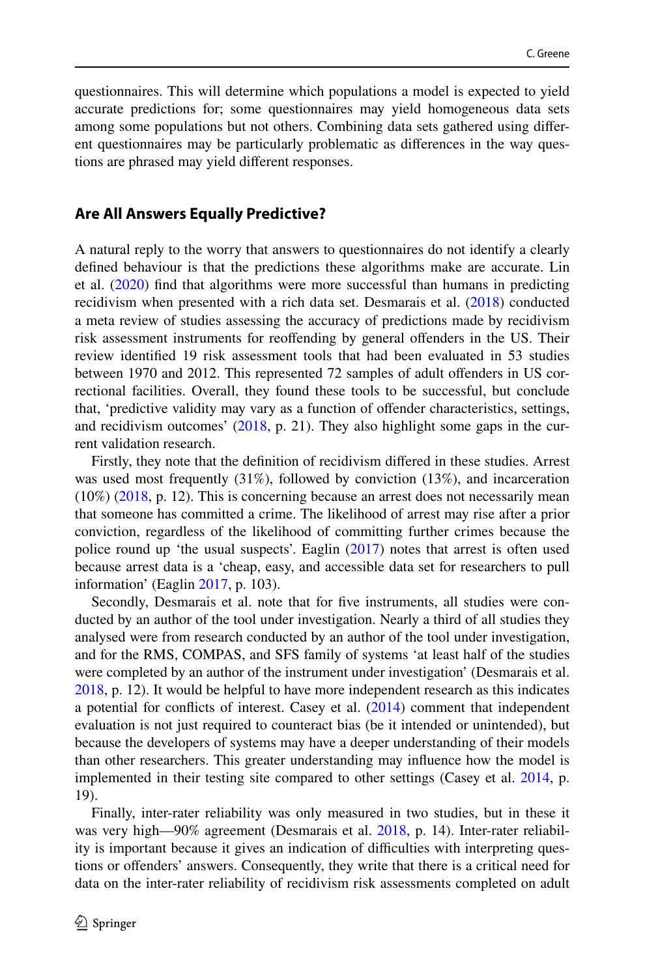questionnaires. This will determine which populations a model is expected to yield accurate predictions for; some questionnaires may yield homogeneous data sets among some populations but not others. Combining data sets gathered using diferent questionnaires may be particularly problematic as diferences in the way questions are phrased may yield diferent responses.

#### **Are All Answers Equally Predictive?**

A natural reply to the worry that answers to questionnaires do not identify a clearly defned behaviour is that the predictions these algorithms make are accurate. Lin et al. [\(2020](#page-15-18)) fnd that algorithms were more successful than humans in predicting recidivism when presented with a rich data set. Desmarais et al. ([2018\)](#page-15-9) conducted a meta review of studies assessing the accuracy of predictions made by recidivism risk assessment instruments for reofending by general ofenders in the US. Their review identifed 19 risk assessment tools that had been evaluated in 53 studies between 1970 and 2012. This represented 72 samples of adult ofenders in US correctional facilities. Overall, they found these tools to be successful, but conclude that, 'predictive validity may vary as a function of ofender characteristics, settings, and recidivism outcomes' [\(2018](#page-15-9), p. 21). They also highlight some gaps in the current validation research.

Firstly, they note that the defnition of recidivism difered in these studies. Arrest was used most frequently (31%), followed by conviction (13%), and incarceration (10%) [\(2018](#page-15-9), p. 12). This is concerning because an arrest does not necessarily mean that someone has committed a crime. The likelihood of arrest may rise after a prior conviction, regardless of the likelihood of committing further crimes because the police round up 'the usual suspects'. Eaglin ([2017\)](#page-15-19) notes that arrest is often used because arrest data is a 'cheap, easy, and accessible data set for researchers to pull information' (Eaglin [2017](#page-15-19), p. 103).

Secondly, Desmarais et al. note that for fve instruments, all studies were conducted by an author of the tool under investigation. Nearly a third of all studies they analysed were from research conducted by an author of the tool under investigation, and for the RMS, COMPAS, and SFS family of systems 'at least half of the studies were completed by an author of the instrument under investigation' (Desmarais et al. [2018](#page-15-9), p. 12). It would be helpful to have more independent research as this indicates a potential for conficts of interest. Casey et al. ([2014\)](#page-15-20) comment that independent evaluation is not just required to counteract bias (be it intended or unintended), but because the developers of systems may have a deeper understanding of their models than other researchers. This greater understanding may infuence how the model is implemented in their testing site compared to other settings (Casey et al. [2014,](#page-15-20) p. 19).

Finally, inter-rater reliability was only measured in two studies, but in these it was very high—90% agreement (Desmarais et al. [2018](#page-15-9), p. 14). Inter-rater reliability is important because it gives an indication of difculties with interpreting questions or ofenders' answers. Consequently, they write that there is a critical need for data on the inter-rater reliability of recidivism risk assessments completed on adult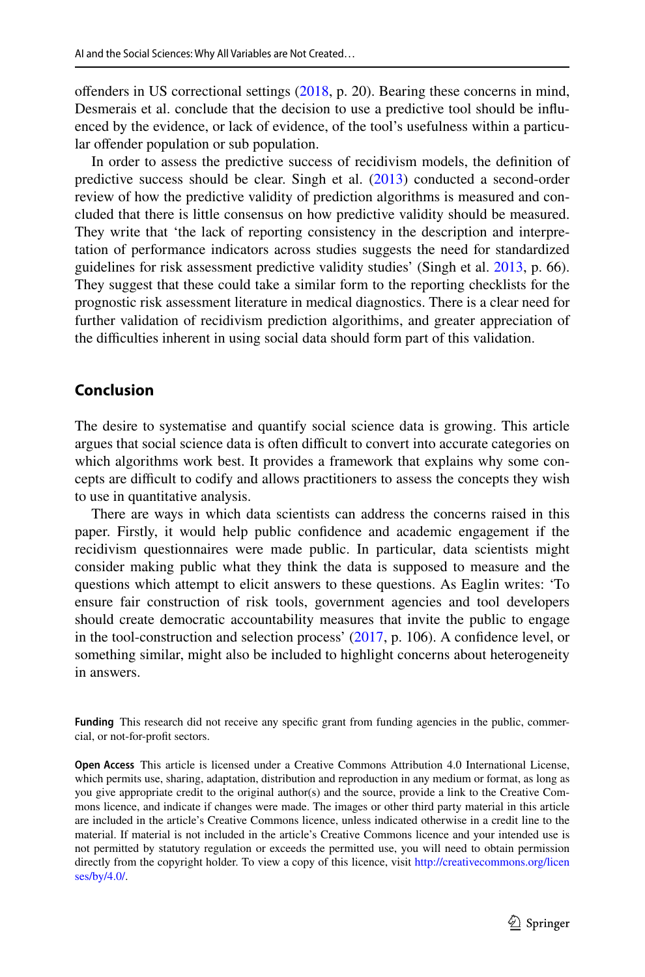ofenders in US correctional settings [\(2018](#page-15-9), p. 20). Bearing these concerns in mind, Desmerais et al. conclude that the decision to use a predictive tool should be infuenced by the evidence, or lack of evidence, of the tool's usefulness within a particular offender population or sub population.

In order to assess the predictive success of recidivism models, the defnition of predictive success should be clear. Singh et al. ([2013\)](#page-15-21) conducted a second-order review of how the predictive validity of prediction algorithms is measured and concluded that there is little consensus on how predictive validity should be measured. They write that 'the lack of reporting consistency in the description and interpretation of performance indicators across studies suggests the need for standardized guidelines for risk assessment predictive validity studies' (Singh et al. [2013,](#page-15-21) p. 66). They suggest that these could take a similar form to the reporting checklists for the prognostic risk assessment literature in medical diagnostics. There is a clear need for further validation of recidivism prediction algorithims, and greater appreciation of the difficulties inherent in using social data should form part of this validation.

#### **Conclusion**

The desire to systematise and quantify social science data is growing. This article argues that social science data is often difficult to convert into accurate categories on which algorithms work best. It provides a framework that explains why some concepts are difcult to codify and allows practitioners to assess the concepts they wish to use in quantitative analysis.

There are ways in which data scientists can address the concerns raised in this paper. Firstly, it would help public confdence and academic engagement if the recidivism questionnaires were made public. In particular, data scientists might consider making public what they think the data is supposed to measure and the questions which attempt to elicit answers to these questions. As Eaglin writes: 'To ensure fair construction of risk tools, government agencies and tool developers should create democratic accountability measures that invite the public to engage in the tool-construction and selection process' [\(2017](#page-15-19), p. 106). A confdence level, or something similar, might also be included to highlight concerns about heterogeneity in answers.

Funding This research did not receive any specific grant from funding agencies in the public, commercial, or not-for-proft sectors.

**Open Access** This article is licensed under a Creative Commons Attribution 4.0 International License, which permits use, sharing, adaptation, distribution and reproduction in any medium or format, as long as you give appropriate credit to the original author(s) and the source, provide a link to the Creative Commons licence, and indicate if changes were made. The images or other third party material in this article are included in the article's Creative Commons licence, unless indicated otherwise in a credit line to the material. If material is not included in the article's Creative Commons licence and your intended use is not permitted by statutory regulation or exceeds the permitted use, you will need to obtain permission directly from the copyright holder. To view a copy of this licence, visit [http://creativecommons.org/licen](http://creativecommons.org/licenses/by/4.0/) [ses/by/4.0/](http://creativecommons.org/licenses/by/4.0/).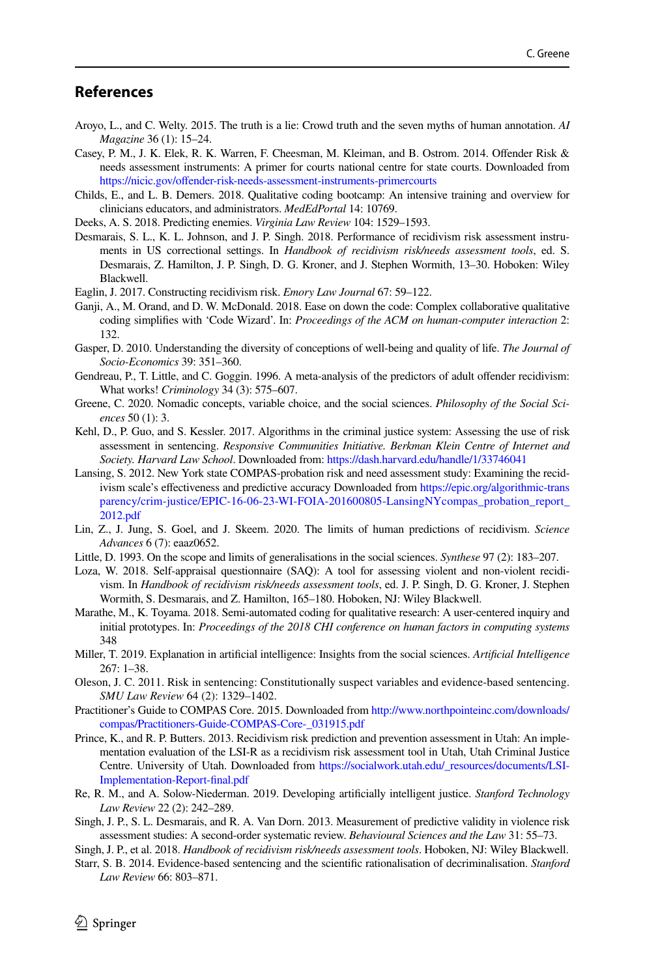## **References**

- <span id="page-15-16"></span>Aroyo, L., and C. Welty. 2015. The truth is a lie: Crowd truth and the seven myths of human annotation. *AI Magazine* 36 (1): 15–24.
- <span id="page-15-20"></span>Casey, P. M., J. K. Elek, R. K. Warren, F. Cheesman, M. Kleiman, and B. Ostrom. 2014. Ofender Risk & needs assessment instruments: A primer for courts national centre for state courts. Downloaded from https://nicic.gov/offender-risk-needs-assessment-instruments-primercourts
- <span id="page-15-14"></span>Childs, E., and L. B. Demers. 2018. Qualitative coding bootcamp: An intensive training and overview for clinicians educators, and administrators. *MedEdPortal* 14: 10769.
- Deeks, A. S. 2018. Predicting enemies. *Virginia Law Review* 104: 1529–1593.
- <span id="page-15-9"></span>Desmarais, S. L., K. L. Johnson, and J. P. Singh. 2018. Performance of recidivism risk assessment instruments in US correctional settings. In *Handbook of recidivism risk/needs assessment tools*, ed. S. Desmarais, Z. Hamilton, J. P. Singh, D. G. Kroner, and J. Stephen Wormith, 13–30. Hoboken: Wiley Blackwell.
- <span id="page-15-19"></span>Eaglin, J. 2017. Constructing recidivism risk. *Emory Law Journal* 67: 59–122.
- <span id="page-15-15"></span>Ganji, A., M. Orand, and D. W. McDonald. 2018. Ease on down the code: Complex collaborative qualitative coding simplifes with 'Code Wizard'. In: *Proceedings of the ACM on human-computer interaction* 2: 132.
- <span id="page-15-6"></span>Gasper, D. 2010. Understanding the diversity of conceptions of well-being and quality of life. *The Journal of Socio-Economics* 39: 351–360.
- <span id="page-15-11"></span>Gendreau, P., T. Little, and C. Goggin. 1996. A meta-analysis of the predictors of adult ofender recidivism: What works! *Criminology* 34 (3): 575–607.
- <span id="page-15-1"></span>Greene, C. 2020. Nomadic concepts, variable choice, and the social sciences. *Philosophy of the Social Sciences* 50 (1): 3.
- <span id="page-15-2"></span>Kehl, D., P. Guo, and S. Kessler. 2017. Algorithms in the criminal justice system: Assessing the use of risk assessment in sentencing. *Responsive Communities Initiative. Berkman Klein Centre of Internet and Society. Harvard Law School*. Downloaded from:<https://dash.harvard.edu/handle/1/33746041>
- <span id="page-15-12"></span>Lansing, S. 2012. New York state COMPAS-probation risk and need assessment study: Examining the recidivism scale's efectiveness and predictive accuracy Downloaded from [https://epic.org/algorithmic-trans](https://epic.org/algorithmic-transparency/crim-justice/EPIC-16-06-23-WI-FOIA-201600805-LansingNYcompas_probation_report_2012.pdf) [parency/crim-justice/EPIC-16-06-23-WI-FOIA-201600805-LansingNYcompas\\_probation\\_report\\_](https://epic.org/algorithmic-transparency/crim-justice/EPIC-16-06-23-WI-FOIA-201600805-LansingNYcompas_probation_report_2012.pdf) [2012.pdf](https://epic.org/algorithmic-transparency/crim-justice/EPIC-16-06-23-WI-FOIA-201600805-LansingNYcompas_probation_report_2012.pdf)
- <span id="page-15-18"></span>Lin, Z., J. Jung, S. Goel, and J. Skeem. 2020. The limits of human predictions of recidivism. *Science Advances* 6 (7): eaaz0652.
- <span id="page-15-7"></span>Little, D. 1993. On the scope and limits of generalisations in the social sciences. *Synthese* 97 (2): 183–207.
- <span id="page-15-17"></span>Loza, W. 2018. Self-appraisal questionnaire (SAQ): A tool for assessing violent and non-violent recidivism. In *Handbook of recidivism risk/needs assessment tools*, ed. J. P. Singh, D. G. Kroner, J. Stephen Wormith, S. Desmarais, and Z. Hamilton, 165–180. Hoboken, NJ: Wiley Blackwell.
- Marathe, M., K. Toyama. 2018. Semi-automated coding for qualitative research: A user-centered inquiry and initial prototypes. In: *Proceedings of the 2018 CHI conference on human factors in computing systems* 348
- <span id="page-15-0"></span>Miller, T. 2019. Explanation in artifcial intelligence: Insights from the social sciences. *Artifcial Intelligence* 267: 1–38.
- <span id="page-15-3"></span>Oleson, J. C. 2011. Risk in sentencing: Constitutionally suspect variables and evidence-based sentencing. *SMU Law Review* 64 (2): 1329–1402.
- <span id="page-15-10"></span>Practitioner's Guide to COMPAS Core. 2015. Downloaded from [http://www.northpointeinc.com/downloads/](http://www.northpointeinc.com/downloads/compas/Practitioners-Guide-COMPAS-Core-_031915.pdf) [compas/Practitioners-Guide-COMPAS-Core-\\_031915.pdf](http://www.northpointeinc.com/downloads/compas/Practitioners-Guide-COMPAS-Core-_031915.pdf)
- <span id="page-15-13"></span>Prince, K., and R. P. Butters. 2013. Recidivism risk prediction and prevention assessment in Utah: An implementation evaluation of the LSI-R as a recidivism risk assessment tool in Utah, Utah Criminal Justice Centre. University of Utah. Downloaded from [https://socialwork.utah.edu/\\_resources/documents/LSI-](https://socialwork.utah.edu/_resources/documents/LSI-Implementation-Report-final.pdf)[Implementation-Report-fnal.pdf](https://socialwork.utah.edu/_resources/documents/LSI-Implementation-Report-final.pdf)
- <span id="page-15-4"></span>Re, R. M., and A. Solow-Niederman. 2019. Developing artifcially intelligent justice. *Stanford Technology Law Review* 22 (2): 242–289.
- <span id="page-15-21"></span>Singh, J. P., S. L. Desmarais, and R. A. Van Dorn. 2013. Measurement of predictive validity in violence risk assessment studies: A second-order systematic review. *Behavioural Sciences and the Law* 31: 55–73.
- <span id="page-15-8"></span>Singh, J. P., et al. 2018. *Handbook of recidivism risk/needs assessment tools*. Hoboken, NJ: Wiley Blackwell.
- <span id="page-15-5"></span>Starr, S. B. 2014. Evidence-based sentencing and the scientifc rationalisation of decriminalisation. *Stanford Law Review* 66: 803–871.